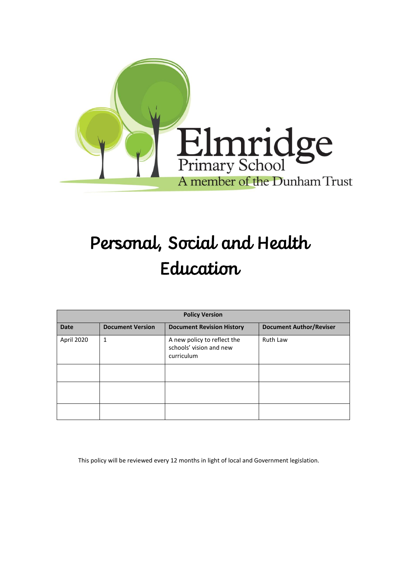

# Personal, Social and Health Education

| <b>Policy Version</b> |                         |                                                                      |                                |
|-----------------------|-------------------------|----------------------------------------------------------------------|--------------------------------|
| <b>Date</b>           | <b>Document Version</b> | <b>Document Revision History</b>                                     | <b>Document Author/Reviser</b> |
| April 2020            | $\mathbf{1}$            | A new policy to reflect the<br>schools' vision and new<br>curriculum | Ruth Law                       |
|                       |                         |                                                                      |                                |
|                       |                         |                                                                      |                                |
|                       |                         |                                                                      |                                |

This policy will be reviewed every 12 months in light of local and Government legislation.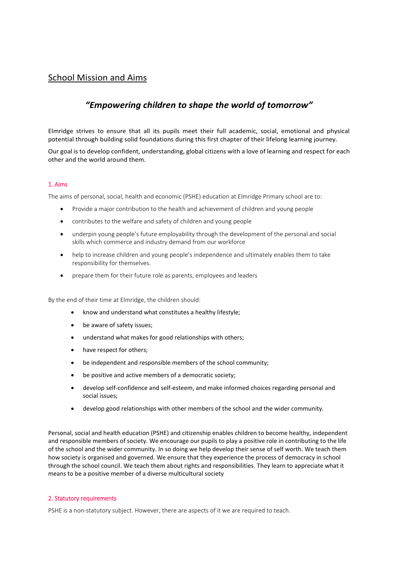### School Mission and Aims

## *"Empowering children to shape the world of tomorrow"*

Elmridge strives to ensure that all its pupils meet their full academic, social, emotional and physical potential through building solid foundations during this first chapter of their lifelong learning journey.

Our goal is to develop confident, understanding, global citizens with a love of learning and respect for each other and the world around them.

#### 1. Aims

The aims of personal, social, health and economic (PSHE) education at Elmridge Primary school are to:

- Provide a major contribution to the health and achievement of children and young people
- contributes to the welfare and safety of children and young people
- underpin young people's future employability through the development of the personal and social skills which commerce and industry demand from our workforce
- help to increase children and young people's independence and ultimately enables them to take responsibility for themselves.
- prepare them for their future role as parents, employees and leaders

By the end of their time at Elmridge, the children should:

- know and understand what constitutes a healthy lifestyle;
- be aware of safety issues;
- understand what makes for good relationships with others;
- have respect for others:
- be independent and responsible members of the school community;
- be positive and active members of a democratic society;
- develop self-confidence and self-esteem, and make informed choices regarding personal and social issues;
- develop good relationships with other members of the school and the wider community.

Personal, social and health education (PSHE) and citizenship enables children to become healthy, independent and responsible members of society. We encourage our pupils to play a positive role in contributing to the life of the school and the wider community. In so doing we help develop their sense of self worth. We teach them how society is organised and governed. We ensure that they experience the process of democracy in school through the school council. We teach them about rights and responsibilities. They learn to appreciate what it means to be a positive member of a diverse multicultural society

#### 2. Statutory requirements

PSHE is a non-statutory subject. However, there are aspects of it we are required to teach.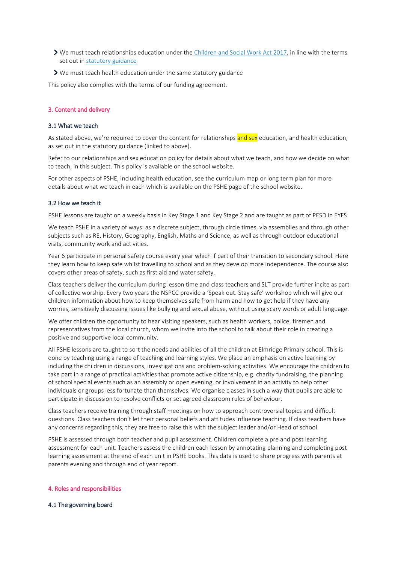- We must teach relationships education under th[e Children and Social Work Act 2017,](http://www.legislation.gov.uk/ukpga/2017/16/section/34/enacted) in line with the terms set out in [statutory guidance](https://www.gov.uk/government/publications/relationships-education-relationships-and-sex-education-rse-and-health-education)
- $\triangleright$  We must teach health education under the same statutory guidance

This policy also complies with the terms of our funding agreement.

#### 3. Content and delivery

#### 3.1 What we teach

As stated above, we're required to cover the content for relationships and sex education, and health education, as set out in the statutory guidance (linked to above).

Refer to our relationships and sex education policy for details about what we teach, and how we decide on what to teach, in this subject. This policy is available on the school website.

For other aspects of PSHE, including health education, see the curriculum map or long term plan for more details about what we teach in each which is available on the PSHE page of the school website.

#### 3.2 How we teach it

PSHE lessons are taught on a weekly basis in Key Stage 1 and Key Stage 2 and are taught as part of PESD in EYFS

We teach PSHE in a variety of ways: as a discrete subject, through circle times, via assemblies and through other subjects such as RE, History, Geography, English, Maths and Science, as well as through outdoor educational visits, community work and activities.

Year 6 participate in personal safety course every year which if part of their transition to secondary school. Here they learn how to keep safe whilst travelling to school and as they develop more independence. The course also covers other areas of safety, such as first aid and water safety.

Class teachers deliver the curriculum during lesson time and class teachers and SLT provide further incite as part of collective worship. Every two years the NSPCC provide a 'Speak out. Stay safe' workshop which will give our children information about how to keep themselves safe from harm and how to get help if they have any worries, sensitively discussing issues like bullying and sexual abuse, without using scary words or adult language.

We offer children the opportunity to hear visiting speakers, such as health workers, police, firemen and representatives from the local church, whom we invite into the school to talk about their role in creating a positive and supportive local community.

All PSHE lessons are taught to sort the needs and abilities of all the children at Elmridge Primary school. This is done by teaching using a range of teaching and learning styles. We place an emphasis on active learning by including the children in discussions, investigations and problem-solving activities. We encourage the children to take part in a range of practical activities that promote active citizenship, e.g. charity fundraising, the planning of school special events such as an assembly or open evening, or involvement in an activity to help other individuals or groups less fortunate than themselves. We organise classes in such a way that pupils are able to participate in discussion to resolve conflicts or set agreed classroom rules of behaviour.

Class teachers receive training through staff meetings on how to approach controversial topics and difficult questions. Class teachers don't let their personal beliefs and attitudes influence teaching. If class teachers have any concerns regarding this, they are free to raise this with the subject leader and/or Head of school.

PSHE is assessed through both teacher and pupil assessment. Children complete a pre and post learning assessment for each unit. Teachers assess the children each lesson by annotating planning and completing post learning assessment at the end of each unit in PSHE books. This data is used to share progress with parents at parents evening and through end of year report.

#### 4. Roles and responsibilities

#### 4.1 The governing board